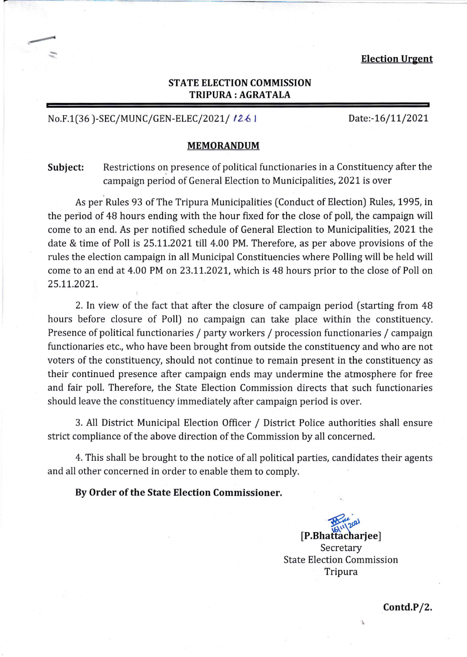# **STATE ELECTION COMMISSION TRIPURA: AGRATALA**

## No.F.1(36)-SEC/MUNC/GEN-ELEC/2021/1261 Date:-16/11/2021

#### **MEMORANDUM**

**Subject:**  Restrictions on presence of political functionaries in a Constituency after the campaign period of General Election to Municipalities, 2021 is over

As per Rules 93 of The Tripura Municipalities (Conduct of Election) Rules, 1995, in the period of 48 hours ending with the hour fixed for the close of poll, the campaign will come to an end. As per notified schedule of General Election to Municipalities, 2021 the date & time of Poll is 25.11.2021 till 4.00 PM. Therefore, as per above provisions of the rules the election campaign in all Municipal Constituencies where Polling will be held will come to an end at 4.00 PM on 23.11.2021, which is 48 hours prior to the close of Poll on 25.11.2021.

2. In view of the fact that after the closure of campaign period (starting from 48 hours before closure of Poll) no campaign can take place within the constituency. Presence of political functionaries / party workers / procession functionaries / campaign functionaries etc., who have been brought from outside the constituency and who are not voters of the constituency, should not continue to remain present in the constituency as their continued presence after campaign ends may undermine the atmosphere for free and fair poll. Therefore, the State Election Commission directs that such functionaries should leave the constituency immediately after campaign period is over.

3. All District Municipal Election Officer / District Police authorities shall ensure strict compliance of the above direction of the Commission by all concerned.

4. This shall be brought to the notice of all political parties, candidates their agents and all other concerned in order to enable them to comply.

**By Order of the State Election Commissioner.** 

~~ **[P.Bhattacharjee]**  Secretary State Election Commission Tripura

**Contd.PIZ.**